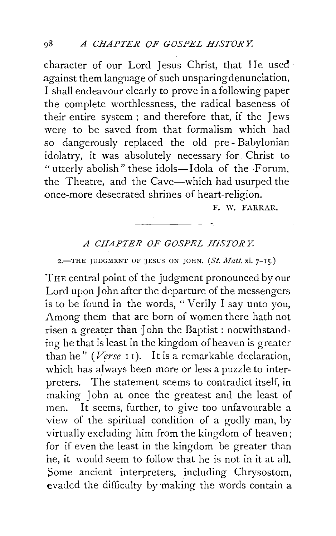character of our Lord Jesus Christ, that He used · against them language of such unsparing denunciation, I shall endeavour clearly to prove in a following paper the complete worthlessness, the radical baseness of their entire system ; and therefore that, if the Jews were to be saved from that formalism which had so dangerously replaced the old pre- Babylonian idolatry, it was absolutely necessary for Christ to " utterly abolish" these idols—Idola of the Forum, the Theatre, and the Cave-which had usurped the once-more desecrated shrines of heart-religion.

F. W. FARRAR.

## *A CIIAPTER OF GOSPEL HJSTOR Y.*

2.-THE JUDGMENT OF JESUS ON JOHN.  $(St. \textit{Matt.} xi. 7-15.)$ 

THE central point of the judgment pronounced by our Lord upon John after the departure of the messengers is to be found in the words, " Verily I say unto you, Among them that are born of women there hath not risen a greater than John the Baptist : notwithstanding he that is least in the kingdom of heaven is greater than he" *(Verse II)*. It is a remarkable declaration, which has always been more or less a puzzle to interpreters. The statement seems to contradict itself, in making John at once the greatest and the least of men. It seems, further, to give too unfavourable a view of the spiritual condition of a godly man, by virtually excluding him from the kingdom of heaven; for if even the least in the kingdom be greater than he, it would seem to follow that he is not in it at all. Some ancient interpreters, including Chrysostom, evaded the difficulty by making the words contain a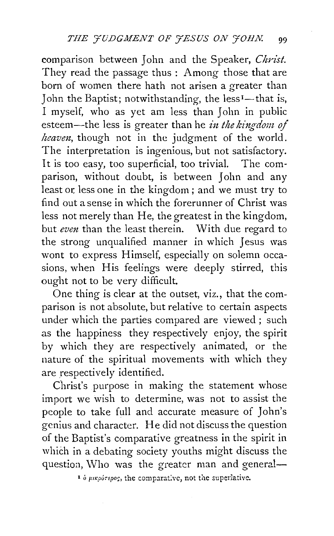comparison between John and the Speaker, *Christ.*  They read the passage thus : Among those that are born of women there hath not arisen a greater than John the Baptist; notwithstanding, the less<sup>1</sup>—that is, I myself, who as yet am less than John in public esteem--the less is greater than he *in the kingdom of heaven*, though not in the judgment of the world. The interpretation is ingenious, but not satisfactory. It is too easy, too superficial, too trivial. The comparison, without doubt, is between John and any least or. less one in the kingdom ; and we must try to find out a sense in which the forerunner of Christ was less not merely than He, the greatest in the kingdom, but *even* than the least therein. With due regard to the strong unqualified manner in which Jesus was wont to express Himself, especially on solemn occasions, when His feelings were deeply stirred, this ought not to be very difficult.

One thing is clear at the outset, viz., that the comparison is not absolute, but relative to certain aspects under which the parties compared are viewed; such as the happiness they respectively enjoy, the spirit by which they are respectively animated, or the nature of the spiritual movements with which they are respectively identified.

Christ's purpose in making the statement whose import we wish to determine, was not to assist the people to take full and accurate measure of John's genius and character. He did not discuss the question of the Baptist's comparative greatness in the spirit in which in a debating society youths might discuss the question, Who was the greater man and general-

<sup>1</sup> ο μικρότερος, the comparative, not the superlative.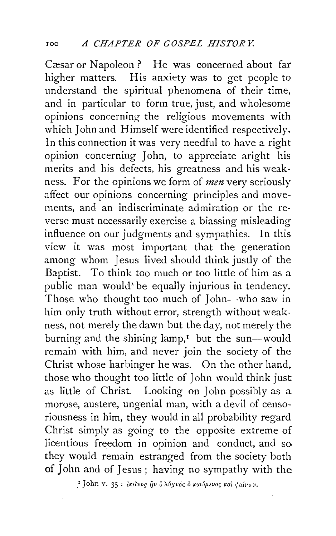Cæsar or Napoleon ? He was concerned about far higher matters. His anxiety was to get people to understand the spiritual phenomena of their time, and in particular to form true, just, and wholesome opinions concerning the religious movements with which John and Himself were identified respectively. In this connection it was very needful to have a right opinion concerning John, to appreciate aright his merits and his defects, his greatness and his weakness. For the opinions we form of *men* very seriously affect our opinions concerning principles and movements, and an indiscriminate admiration or the reverse must necessarily exercise a biassing misleading influence on our judgments and sympathies. In this view it was most important that the generation among whom Jesus lived should think justly of the Baptist. To think too much or too little of him as a public man would' be equally injurious in tendency. Those who thought too much of John-who saw in him only truth without error, strength without weakness, not merely the dawn but the day, not merely the burning and the shining  $lamp, I$  but the sun-would remain with him, and never join the society of the Christ whose harbinger he was. On the other hand. those who thought too little of John would think just as little of Christ. Looking on John possibly as a morose, austere, ungenial man, with a devil of censoriousness in him, they would in all probability regard Christ simply as going to the opposite extreme of licentious freedom in opinion and conduct, and so they would remain estranged from the society both of John and of Jesus ; having no sympathy with the

<sup>&</sup>lt;sup>τ</sup> John v. 35: εκείνος ήν ο λύχνος ο καιόμενος και φαίνων.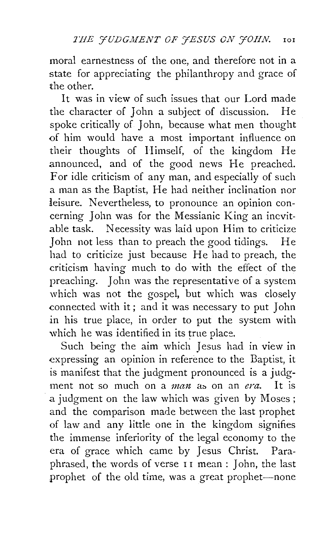moral earnestness of the one, and therefore not in a state for appreciating the philanthropy and grace of the other.

It was in view of such issues that our Lord made the character of John a subject of discussion. He spoke critically of John, because what men thought of him would have a most important influence on their thoughts of Himself, of the kingdom He announced, and of the good news He preached. For idle criticism of any man, and especially of such a man as the Baptist, He had neither inclination nor leisure. Nevertheless, to pronounce an opinion concerning John was for the Messianic King an inevitable task. Necessity was laid upon Him to criticize John not less than to preach the good tidings. He had to criticize just because He had to preach, the criticism having much to do with the effect of the preaching. John was the representative of a system which was not the gospel, but which was closely connected with it ; and it was necessary to put John in his true place, in order to put the system with which he was identified in its true place.

Such being the aim which Jesus had in view in expressing an opinion in reference to the Baptist, it is manifest that the judgment pronounced is a judgment not so much on a *man* as on an *era*. It is a judgment on the law which was given by Moses ; and the comparison made between the last prophet of law and any little one in the kingdom signifies the immense inferiority of the legal economy to the era of grace which came by Jesus Christ. Paraphrased, the words of verse II mean : John, the last prophet of the old time, was a great prophet-none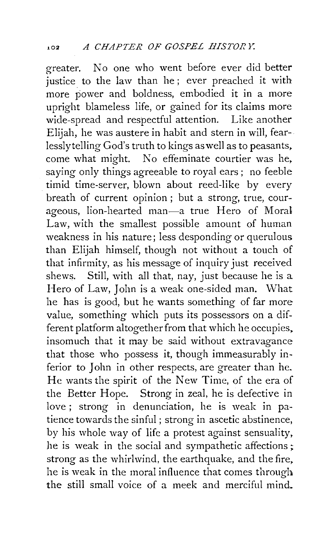greater. No one who went before ever did better justice to the law than he; ever preached it with more power and boldness, embodied it in a more upright blameless life, or gained for its claims more wide-spread and respectful attention. Like another Elijah, he was austere in habit and stern in will, fearlesslytelling God's truth to kings as well as to peasants, come what might. No effeminate courtier was he. saying only things agreeable to royal ears ; no feeble timid time-server, blown about reed-like by every breath of current opinion ; but a strong, true, courageous, lion-hearted man-a true Hero of Moral Law, with the smallest possible amount of human weakness in his nature; less desponding or querulous than Elijah himself, though not without a touch of that infirmity, as his message of inquiry just received shews. Still, with all that, nay, just because he is a Hero of Law, John is a weak one-sided man. What he has is good, but he wants something of far more value, something which puts its possessors on a different platform altogether from that which he occupies, insomuch that it may be said without extravagance that those who possess it, though immeasurably inferior to John in other respects, are greater than he. He wants the spirit of the New Time, of the era of the Better Hope. Strong in zeal, he is defective in love ; strong in denunciation, he is weak in patience towards the sinful ; strong in ascetic abstinence, by his whole way of life a protest against sensuality. he is weak in the social and sympathetic affections ; strong as the whirlwind, the earthquake, and the fire. he is weak in the moral influence that comes through the still small voice of a meek and merciful mind.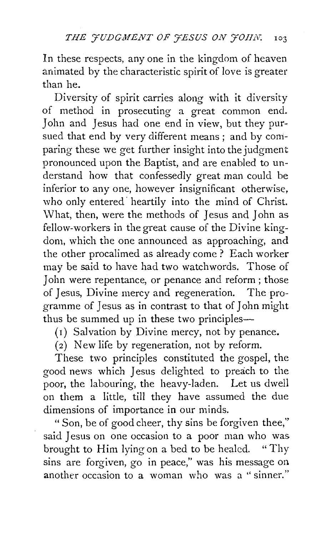In these respects, any one in the kingdom of heaven animated by the characteristic spirit of love is greater than he.

Diversity of spirit carries along with it diversity of method in prosecuting a great common end. John and Jesus had one end in view, but they pursued that end by very different means ; and by coniparing these we get further insight into the judgment pronounced upon the Baptist, and are enabled to understand how that confessedly great man could be inferior to any one, however insignificant otherwise, who only entered heartily into the mind of Christ. What, then, were the methods of Jesus and John as fellow-workers in the great cause of the Divine kingdom, which the one announced as approaching, and the other procalimed as already come ? Each worker may be said to have had two watchwords. Those of John were repentance, or penance and reform ; those of Jesus, Divine mercy and regeneration. The programme of Jesus as in contrast to that of John might thus be summed up in these two principles--

( 1) Salvation by Divine mercy, not by penance.

(2) New life by regeneration, not by reform.

These two principles constituted the gospel, the good news which Jesus delighted to preach to the poor, the labouring, the heavy-laden. Let us dwell on them a little, till they have assumed the due dimensions of importance in our minds.

"Son, be of good cheer, thy sins be forgiven thee," said Jesus on one occasion to a poor man who was brought to Him lying on a bed to be healed. "Thy sins are forgiven, go in peace," was his message on another occasion to a woman who was a "sinner."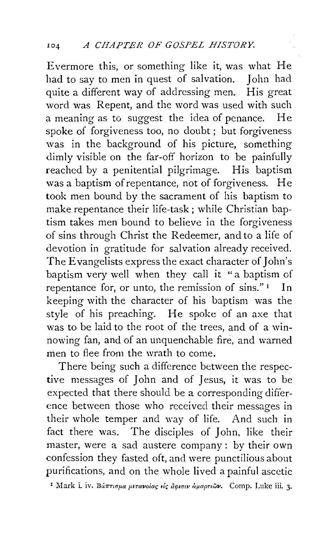Evermore this, or something like it, was what He had to say to men in quest of salvation. John had quite a different way of addressing men. His great word was Repent, and the word was used **with** such a meaning as to suggest the idea of penance. He spoke of forgiveness too, no doubt; but forgiveness was in the background of his picture, something dimly visible on the far-off horizon to be painfully reached by a penitential pilgrimage. His baptism was a baptism of repentance, not of forgiveness. He took men bound by the sacrament of his baptism to make repentance their life-task ; while Christian baptism takes men bound to believe in the forgiveness of sins through Christ the Redeemer, and to a life of devotion in gratitude for salvation already received. The Evangelists express the exact character of John's baptism very well when they call it "a baptism of repentance for, or unto, the remission of sins." $\frac{1}{1}$  In keeping with the character of his baptism was the style of his preaching. He spoke of an axe that was to be laid to the root of the trees, and of a winnowing fan, and of an unquenchable fire, and warned men to flee from the wrath to come.

There being such a difference between the respective messages of John and of Jesus, it was to be expected that there should be a corresponding difference between those who received their messages in their whole temper and way of life. And such in fact there was. The disciples of John, like their master, were a sad austere company : by their own confession they fasted oft, and were punctilious about purifications, and on the whole lived a painful ascetic

I Mark i. iv. Bántiqua peravoias els apeair apapriõv. Comp. Luke iii. 3.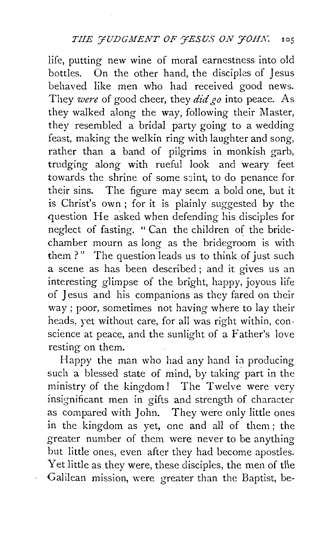life, putting new wine of moral earnestness into old bottles. On the other hand, the disciples of Jesus behaved like men who had. received good news. They *were* of good cheer, they did *go* into peace. As they walked along the way, following their Master, they resembled a bridal party going to a wedding feast, making the welkin ring with laughter and song, rather than a band of pilgrims in monkish garb, trudging along with rueful look and weary feet towards the shrine of some saint, to do penance for their sins. The figure may seem a bold one, but it is Christ's own ; for it is plainly suggested by the question He asked when defending his disciples for neglect of fasting. " Can the children of the bridechamber mourn as long as the bridegroom is with them ?" The question leads us to think of just such a scene as has been described ; and it gives us an interesting glimpse of the bright, happy, joyous life of Jesus and his companions as they fared on their way; poor, sometimes not having where to lay their heads, yet without care, for all was right within, conscience at peace, and the sunlight of a Father's love resting on them.

Happy the man who had any hand in producing such a blessed state of mind, by taking part in the ministry of the kingdom! The Twelve were very insignificant men in gifts and strength of character as compared with John. They were only little ones in the kingdom as yet, one and all of them ; the greater number of them were never to be anything but little ones, even after they had become apostles. Yet little as they were, these disciples, the men of the Galilean mission, were greater than the Baptist, be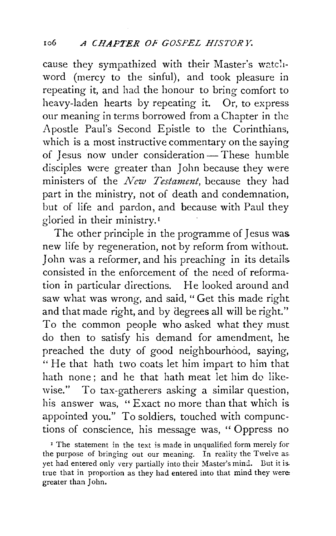cause they sympathized with their Master's watc'liword (mercy to the sinful), and took pleasure in repeating it, and had the honour to bring comfort to heavy-laden hearts by repeating it. Or, to express our meaning in terms borrowed from a Chapter in the Apostle Paul's Second Epistle to the Corinthians, which is a most instructive commentary on the saying of Jesus now under consideration-These humble disciples were greater than John because they were ministers of the *New Testament*, because they had part in the ministry, not of death and condemnation, but of life and pardon, and because with Paul they gloried in their ministry. 1

The other principle in the programme of Jesus was new life by regeneration, not by reform from without. John was a reformer, and his preaching in its details consisted in the enforcement of the need of reformation in particular directions. He looked around and saw what was wrong, and said, "Get this made right and that made right, and by degrees all will be right." To the common people who asked what they must do then to satisfy his demand for amendment, he preached the duty of good neighbourhood, saying, " He that hath two coats let him impart to him that hath none : and he that hath meat let him do likewise." To tax-gatherers asking a similar question, his answer was, " Exact no more than that which is appointed you." To soldiers, touched with compunctions of conscience, his message was, " Oppress no

<sup>1</sup> The statement in the text is made in unqualified form merely for the purpose of bringing out our meaning. In reality the Twelve as. yet had entered only very partially into their Master's mind. But it is. true that in proportion as they had entered into that mind they were: greater than John.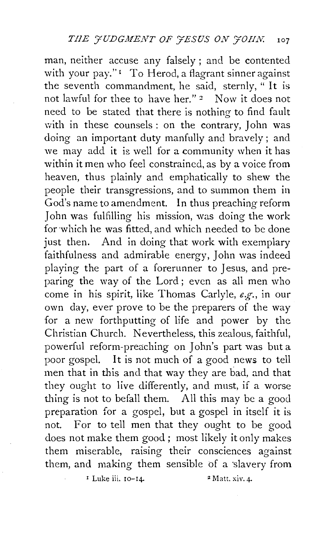man, neither accuse any falsely; and be contented with your pay."<sup>1</sup> To Herod, a flagrant sinner against the seventh commandment, he said, sternly, " It is not lawful for thee to have her." 2 Now it does not need to be stated that there is nothing to find fault with in these counsels : on the contrary, John was doing an important duty manfully and bravely ; and we may add it is well for a community when it has within it men who feel constrained, as by a voice from heaven, thus plainly and emphatically to shew the people their transgressions, and to summon them in God's name to amendment. In thus preaching reform John was fulfilling his mission, was doing the work for which he was fitted, and which needed to be done just then. And in doing that work with exemplary faithfulness and admirable energy, John was indeed playing the part of a forerunner to Jesus, and preparing the way of the Lord; even as all men who come in his spirit, like Thomas Carlyle, *e.g.,* in our own day, ever prove to be the preparers of the way for a new forthputting of life and power by the Christian Church. Nevertheless, this zealous, faithful, powerful reform-preaching on John's part was but a poor gospel. It is not much of a good news to tell men that in this and that way they are bad, and that they ought to live differently, and must, if a worse thing is not to befall them. All this may be a good preparation for a gospel, but a gospel in itself it is not. For to tell men that they ought to be good does not make them good; most likely it only makes them miserable, raising their consciences against them, and making them sensible of a slavery from

 $\frac{1}{2}$  Luke iii. 10-14. 2 Matt. xiv. 4.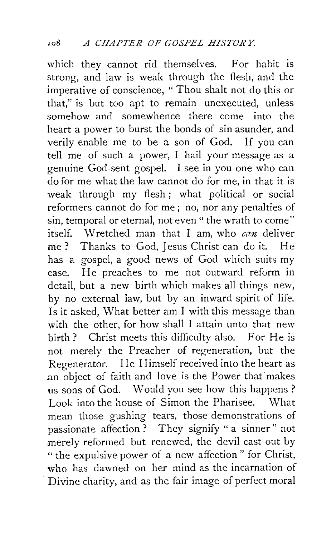which they cannot rid themselves. For habit is strong, and law is weak through the flesh, and the imperative of conscience, "Thou shalt not do this or that," is but too apt to remain unexecuted, unless somehow and somewhence there come into the heart a power to burst the bonds of sin asunder, and verily enable me to be a son of God. If you can tell me of such a power, I hail your message as a genuine God-sent gospel. I see in you one who can do for me what the law cannot do for me, in that it is weak through my flesh; what political or social reformers cannot do for me ; no, nor any penalties of sin, temporal or eternal, not even " the wrath to come" itself. Wretched man that I am, who  $can$  deliver me? Thanks to God, Jesus Christ can do it. He has a gospel, a good news of God which suits my case. He preaches to me not outward reform in detail, but a new birth which makes all things new, by no external law, but by an inward spirit of life. Is it asked, What better am I with this message than with the other, for how shall I attain unto that new birth? Christ meets this difficulty also. For He is not merely the Preacher of regeneration, but the Regenerator. He Himself received into the heart as an object of faith and love is the Power that makes us sons of God. Would you see how this happens ? Look into the house of Simon the Pharisee. What mean those gushing tears, those demonstrations of passionate affection ? They signify " a sinner" not merely reformed but renewed, the devil cast out by " the expulsive power of a new affection " for Christ, who has dawned on her mind as the incarnation of Divine charity, and as the fair image of perfect moral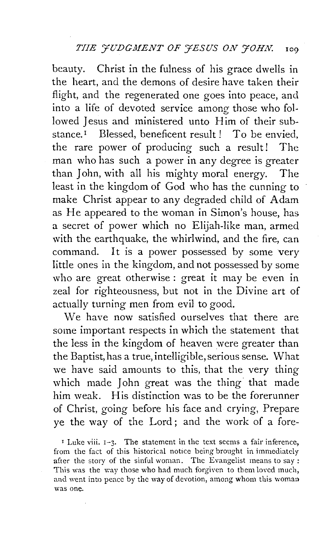beauty. Christ in the fulness of his grace dwells in the heart, and the demons of desire have taken their flight, and the regenerated one goes into peace, and into a life of devoted service among those who followed Jesus and ministered unto Him of their substance.<sup> $I$ </sup> Blessed, beneficent result ! To be envied, the rare power of producing such a result! The man who has such a power in any degree is greater than John, with all his mighty moral energy. The least in the kingdom of God who has the cunning to make Christ appear to any degraded child of Adam as He appeared to the woman in Simon's house, has a secret of power which no Elijah-like man, armed with the earthquake, the whirlwind, and the fire, can command. It is a power possessed by some very little ones in the kingdom, and not possessed by some who are great otherwise: great it may be even in zeal for righteousness, but not in the Divine art of actually turning men from evil to good.

We have now satisfied ourselves that there are some important respects in which the statement that the less in the kingdom of heaven were greater than the Baptist, has a true, intelligible, serious sense. What we have said amounts to this, that the very thing which made John great was the thing that made him weak. His distinction was to be the forerunner of Christ, going before his face and crying, Prepare ye the way of the Lord; and the work of a fore-

' Luke viii. 1-3. The statement in the text seems a fair inference, from the fact of this historical notice being brought in immediately after the story of the sinful woman. The Evangelist means to say: This was the way those who had much forgiven to them loved much, and went into peace by the way of devotion, among whom this woman was one.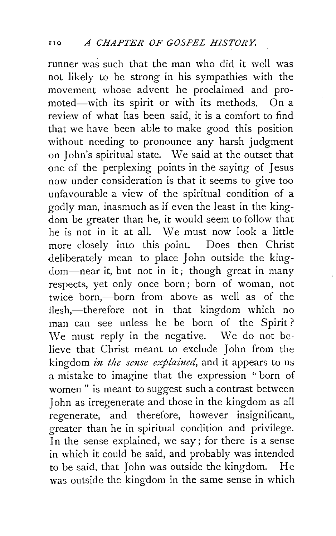runner was such that the man who did it well was not likely to be strong in his sympathies with the movement whose advent he proclaimed and pro-<br>moted—with its spirit or with its methods. On a moted-with its spirit or with its methods. review of what has been said, it is a comfort to find that we have been able to make good this position without needing to pronounce any harsh judgment on John's spiritual state. We said at the outset that one of the perplexing points in the saying of Jesus now under consideration is that it seems to give too unfavourable a view of the spiritual condition of a godly man, inasmuch as if even the least in the kingdom be greater than he, it would seem to follow that<br>he is not in it at all. We must now look a little We must now look a little. more closely into this point. Does then Christ deliberately mean to place John outside the kingdom-near it, but not in it; though great in many respects, yet only once born; born of woman, not twice born,—born from above as well as of the flesh,-therefore not in that kingdom which no man can see unless he be born of the Spirit ? We must reply in the negative. We do not believe that Christ meant to exclude John from the kingdom *in the sense explained,* and it appears to us a mistake to imagine that the expression " born of women " is meant to suggest such a contrast between John as irregenerate and those in the kingdom as all regenerate, and therefore, however insignificant, greater than he in spiritual condition and privilege. In the sense explained, we say; for there is a sense in which it could be said, and probably was intended to be said, that John was outside the kingdom. He was outside the kingdom in the same sense in which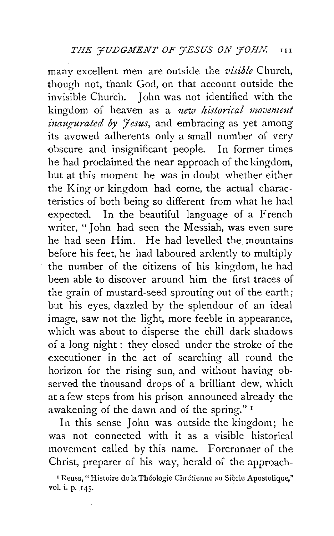many excellent men are outside the *visible* Church, though not, thank God, on that account outside the invisible Church. John was not identified with the kingdom of heaven as a *new historical movement inaugurated by Jesus*, and embracing as yet among its avowed adherents only a small number of very obscure and insignificant people. In former times he had proclaimed the near approach of the kingdom, but at this moment he was in doubt whether either the King or kingdom had come, the actual characteristics of both being so different from what he had expected. In the beautiful language of a French writer, "John had seen the Messiah, was even sure he had seen Him. He had levelled the mountains before his feet, he had laboured ardently to multiply the number of the citizens of his kingdom, he had been able to discover around him the first traces of the grain of mustard-seed sprouting out of the earth; but his eyes, dazzled by the splendour of an ideal image, saw not the light, more feeble in appearance, which was about to disperse the chill dark shadows of a long night : they closed under the stroke of the executioner in the act of searching all round the horizon for the rising sun, and without having observed the thousand drops of a brilliant dew, which at a few steps from his prison announced already the awakening of the dawn and of the spring." 1

In this sense John was outside the kingdom; he was not connected with it as a visible historical movement called by this name. Forerunner of the Christ, preparer of his way, herald of the approach-

<sup>1</sup> Reuss, "Histoire de la Théologie Chrétienne au Siècle Apostolique," vol. i. p. 145·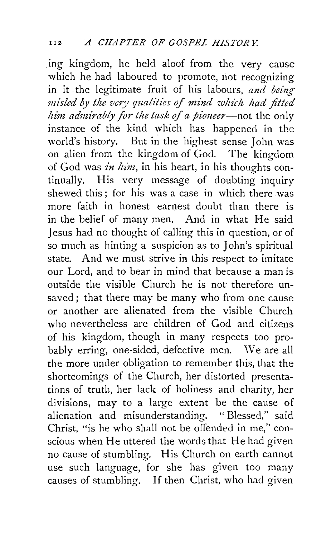. ing kingdom, he held aloof from the very cause which he had laboured to promote, not recognizing in it the legitimate fruit of his labours, and being misled by the very qualities of mind which had fitted *him admimbly for the task of a pioneer-not* the only instance of the kind which has happened in the world's history. But in the highest sense John was on alien from the kingdom of God. The kingdom of God was in him, in his heart, in his thoughts continually. His very message of doubting inquiry shewed this; for his was a case in which there was more faith in honest earnest doubt than there is in the belief of many men. And in what He said Jesus had no thought of calling this in question, or of so much as hinting a suspicion as to John's spiritual state. And we must strive in this respect to imitate our Lord, and to bear in mind that because a man is outside the visible Church he is not therefore unsaved; that there may be many who from one cause or another are alienated from the visible Church who nevertheless are children of God and citizens of his kingdom, though in many respects too probably erring, one-sided, defective men. \Ve are all the more under obligation to remember this, that the shortcomings of the Church, her distorted presentations of truth, her lack of holiness and charity, her divisions, may to a large extent be the cause of alienation and misunderstanding. " Blessed," said Christ, "is he who shall not be offended in me," conscious when He uttered the words that He had given no cause of stumbling. His Church on earth cannot use such language, for she has given too many causes of stumbling. If then Christ, who had given